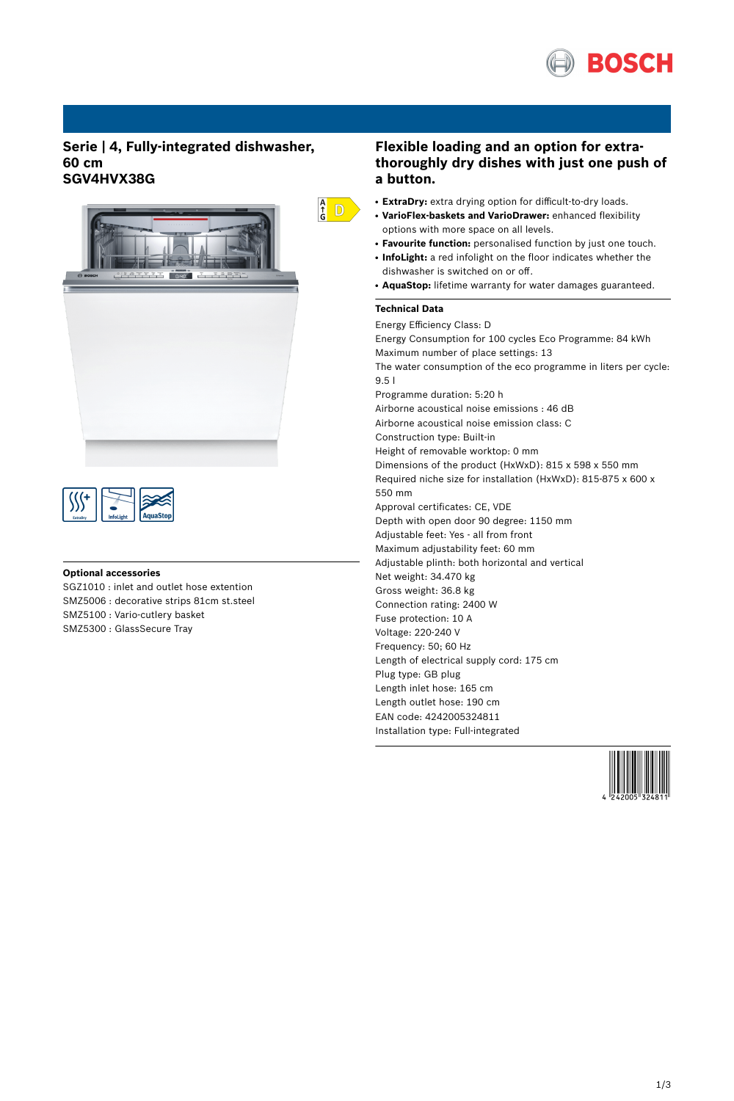

# **Serie | 4, Fully-integrated dishwasher, 60 cm SGV4HVX38G**





## **Optional accessories**

SGZ1010 : inlet and outlet hose extention SMZ5006 : decorative strips 81cm st.steel SMZ5100 : Vario-cutlery basket SMZ5300 : GlassSecure Tray

# **Flexible loading and an option for extrathoroughly dry dishes with just one push of a button.**

- **ExtraDry:** extra drying option for difficult-to-dry loads.
- **VarioFlex-baskets and VarioDrawer:** enhanced flexibility options with more space on all levels.
- **Favourite function:** personalised function by just one touch.
- **InfoLight:** a red infolight on the floor indicates whether the dishwasher is switched on or off.
- AquaStop: lifetime warranty for water damages guaranteed.

### **Technical Data**

 $\frac{A}{G}$  D

Energy Efficiency Class: D Energy Consumption for 100 cycles Eco Programme: 84 kWh Maximum number of place settings: 13 The water consumption of the eco programme in liters per cycle: 9.5 l Programme duration: 5:20 h Airborne acoustical noise emissions : 46 dB Airborne acoustical noise emission class: C Construction type: Built-in Height of removable worktop: 0 mm Dimensions of the product (HxWxD): 815 x 598 x 550 mm Required niche size for installation (HxWxD): 815-875 x 600 x 550 mm Approval certificates: CE, VDE Depth with open door 90 degree: 1150 mm Adjustable feet: Yes - all from front Maximum adjustability feet: 60 mm Adjustable plinth: both horizontal and vertical Net weight: 34.470 kg Gross weight: 36.8 kg Connection rating: 2400 W Fuse protection: 10 A Voltage: 220-240 V Frequency: 50; 60 Hz Length of electrical supply cord: 175 cm Plug type: GB plug Length inlet hose: 165 cm Length outlet hose: 190 cm EAN code: 4242005324811 Installation type: Full-integrated

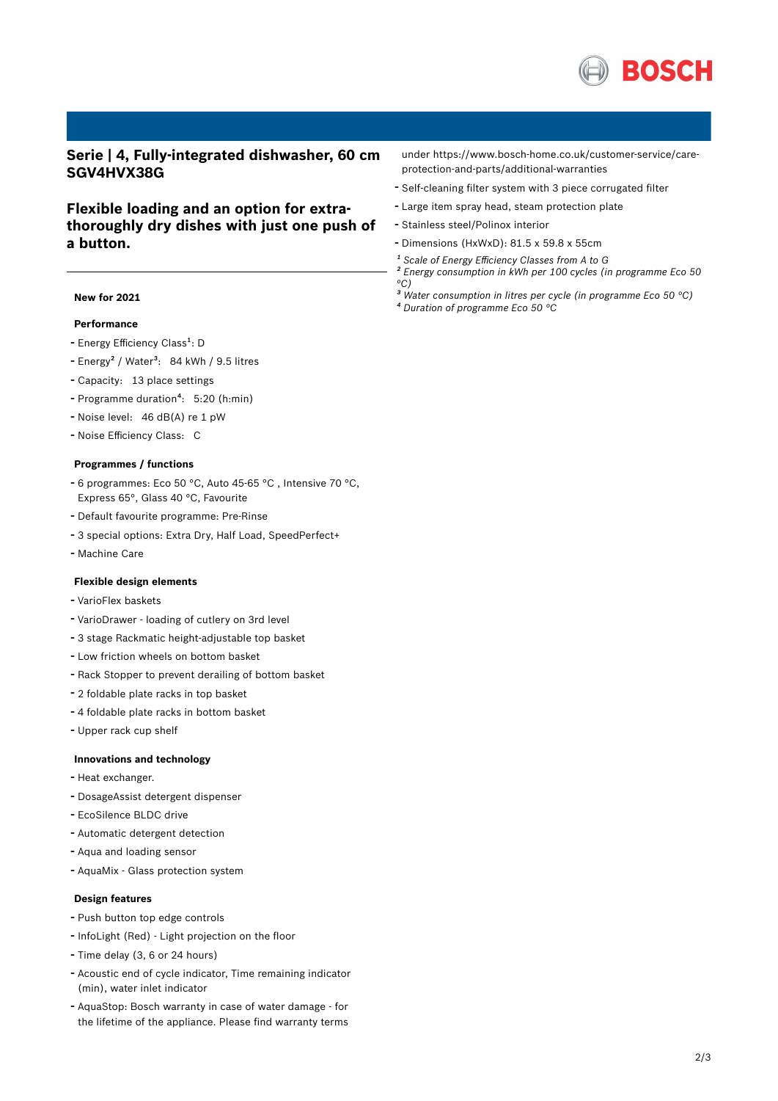

**Serie | 4, Fully-integrated dishwasher, 60 cm SGV4HVX38G**

# **Flexible loading and an option for extrathoroughly dry dishes with just one push of a button.**

### **New for 2021**

## **Performance**

- Energy Efficiency Class<sup>1</sup>: D
- Energy<sup>2</sup> / Water<sup>3</sup>: 84 kWh / 9.5 litres
- Capacity: <sup>13</sup> place settings
- Programme duration<sup>4</sup>: 5:20 (h:min)
- Noise level: <sup>46</sup> dB(A) re <sup>1</sup> pW
- Noise Efficiency Class: <sup>C</sup>

#### **Programmes / functions**

- <sup>6</sup> programmes: Eco <sup>50</sup> °C, Auto 45-65 °C , Intensive <sup>70</sup> °C, Express 65°, Glass 40 °C, Favourite
- Default favourite programme: Pre-Rinse
- <sup>3</sup> special options: Extra Dry, Half Load, SpeedPerfect+
- Machine Care

### **Flexible design elements**

- VarioFlex baskets
- VarioDrawer loading of cutlery on 3rd level
- <sup>3</sup> stage Rackmatic height-adjustable top basket
- Low friction wheels on bottom basket
- Rack Stopper to prevent derailing of bottom basket
- <sup>2</sup> foldable plate racks in top basket
- <sup>4</sup> foldable plate racks in bottom basket
- Upper rack cup shelf

#### **Innovations and technology**

- Heat exchanger.
- DosageAssist detergent dispenser
- EcoSilence BLDC drive
- Automatic detergent detection
- Aqua and loading sensor
- AquaMix Glass protection system

### **Design features**

- Push button top edge controls
- InfoLight (Red) Light projection on the floor
- Time delay (3, <sup>6</sup> or <sup>24</sup> hours)
- Acoustic end of cycle indicator, Time remaining indicator (min), water inlet indicator
- AquaStop: Bosch warranty in case of water damage for the lifetime of the appliance. Please find warranty terms

under https://www.bosch-home.co.uk/customer-service/careprotection-and-parts/additional-warranties

- Self-cleaning filter system with <sup>3</sup> piece corrugated filter
- Large item spray head, steam protection plate
- Stainless steel/Polinox interior
- Dimensions (HxWxD): 81.5 x 59.8 x 55cm
- *¹ Scale of Energy Efficiency Classes from A to G*
- *² Energy consumption in kWh per 100 cycles (in programme Eco 50 °C)*
- *³ Water consumption in litres per cycle (in programme Eco 50 °C)*
- *⁴ Duration of programme Eco 50 °C*